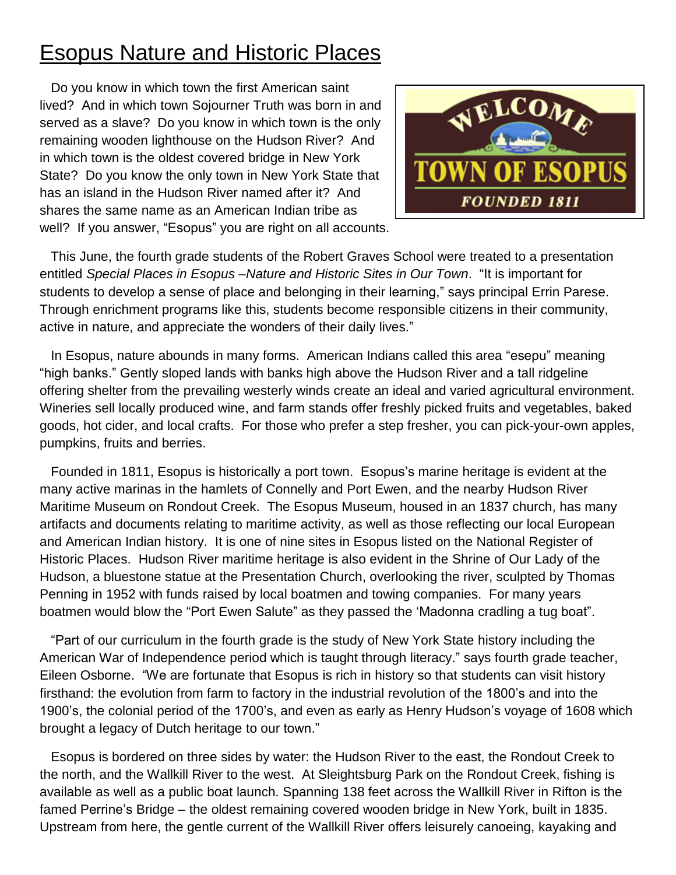## Esopus Nature and Historic Places

 Do you know in which town the first American saint lived? And in which town Sojourner Truth was born in and served as a slave? Do you know in which town is the only remaining wooden lighthouse on the Hudson River? And in which town is the oldest covered bridge in New York State? Do you know the only town in New York State that has an island in the Hudson River named after it? And shares the same name as an American Indian tribe as well? If you answer, "Esopus" you are right on all accounts.



 This June, the fourth grade students of the Robert Graves School were treated to a presentation entitled *Special Places in Esopus –Nature and Historic Sites in Our Town*. "It is important for students to develop a sense of place and belonging in their learning," says principal Errin Parese. Through enrichment programs like this, students become responsible citizens in their community, active in nature, and appreciate the wonders of their daily lives."

 In Esopus, nature abounds in many forms. American Indians called this area "esepu" meaning "high banks." Gently sloped lands with banks high above the Hudson River and a tall ridgeline offering shelter from the prevailing westerly winds create an ideal and varied agricultural environment. Wineries sell locally produced wine, and farm stands offer freshly picked fruits and vegetables, baked goods, hot cider, and local crafts. For those who prefer a step fresher, you can pick-your-own apples, pumpkins, fruits and berries.

 Founded in 1811, Esopus is historically a port town. Esopus's marine heritage is evident at the many active marinas in the hamlets of Connelly and Port Ewen, and the nearby Hudson River Maritime Museum on Rondout Creek. The Esopus Museum, housed in an 1837 church, has many artifacts and documents relating to maritime activity, as well as those reflecting our local European and American Indian history. It is one of nine sites in Esopus listed on the National Register of Historic Places. Hudson River maritime heritage is also evident in the Shrine of Our Lady of the Hudson, a bluestone statue at the Presentation Church, overlooking the river, sculpted by Thomas Penning in 1952 with funds raised by local boatmen and towing companies. For many years boatmen would blow the "Port Ewen Salute" as they passed the 'Madonna cradling a tug boat".

 "Part of our curriculum in the fourth grade is the study of New York State history including the American War of Independence period which is taught through literacy." says fourth grade teacher, Eileen Osborne. "We are fortunate that Esopus is rich in history so that students can visit history firsthand: the evolution from farm to factory in the industrial revolution of the 1800's and into the 1900's, the colonial period of the 1700's, and even as early as Henry Hudson's voyage of 1608 which brought a legacy of Dutch heritage to our town."

 Esopus is bordered on three sides by water: the Hudson River to the east, the Rondout Creek to the north, and the Wallkill River to the west. At Sleightsburg Park on the Rondout Creek, fishing is available as well as a public boat launch. Spanning 138 feet across the Wallkill River in Rifton is the famed Perrine's Bridge – the oldest remaining covered wooden bridge in New York, built in 1835. Upstream from here, the gentle current of the Wallkill River offers leisurely canoeing, kayaking and